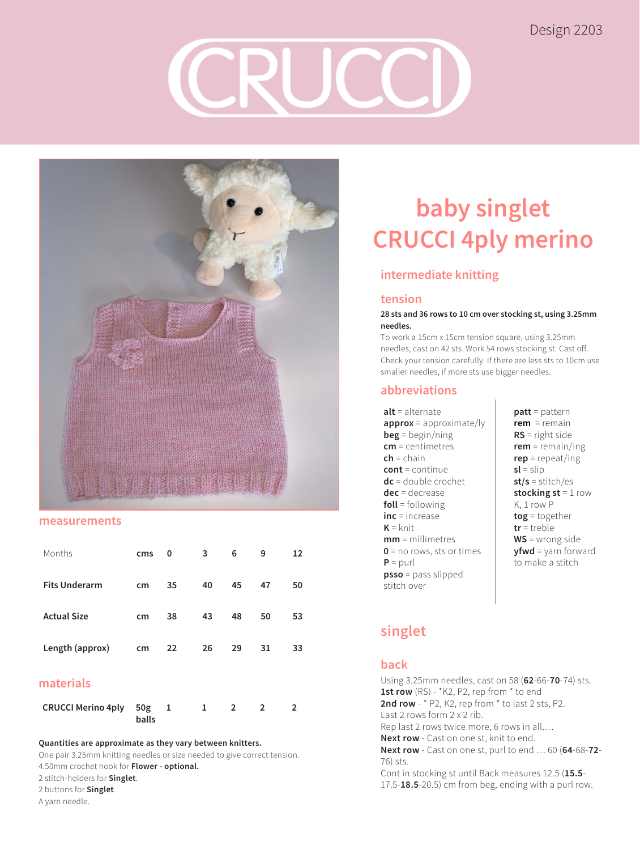## Design 2203



#### **measurements**

| Months               | cms | 0                 | 3  | 6  | 9  | 12 |
|----------------------|-----|-------------------|----|----|----|----|
| <b>Fits Underarm</b> | cm  | 35                | 40 | 45 | 47 | 50 |
| <b>Actual Size</b>   | cm  | 38                | 43 | 48 | 50 | 53 |
| Length (approx)      | cm  | $22 \overline{ }$ | 26 | 29 | 31 | 33 |

## **materials**

| CRUCCI Merino 4ply 50g 1 |       |  |  |  |
|--------------------------|-------|--|--|--|
|                          | balls |  |  |  |

#### **Quantities are approximate as they vary between knitters.**

One pair 3.25mm knitting needles or size needed to give correct tension.

4.50mm crochet hook for **Flower - optional.**

- 2 stitch-holders for **Singlet**.
- 2 buttons for **Singlet**.

#### A yarn needle.

# **baby singlet CRUCCI 4ply merino**

## **intermediate knitting**

## **tension**

#### **28 sts and 36 rows to 10 cm over stocking st, using 3.25mm needles.**

To work a 15cm x 15cm tension square, using 3.25mm needles, cast on 42 sts. Work 54 rows stocking st. Cast off. Check your tension carefully. If there are less sts to 10cm use smaller needles, if more sts use bigger needles.

### **abbreviations**

- **alt** = alternate **approx** = approximate/ly **beg** = begin/ning **cm** = centimetres **ch** = chain **cont** = continue **dc** = double crochet **dec** = decrease **foll** = following **inc** = increase  $K =$  knit **mm** = millimetres **0** = no rows, sts or times  $P =$  purl **psso** = pass slipped stitch over
- **patt** = pattern **rem** = remain **RS** = right side **rem** = remain/ing **rep** = repeat/ing **sl** = slip **st/s** = stitch/es **stocking st** = 1 row K, 1 row P **tog** = together **tr** = treble **WS** = wrong side **yfwd** = yarn forward to make a stitch

## **singlet**

## **back**

Using 3.25mm needles, cast on 58 (**62**-66-**70**-74) sts. 1st row (RS) - \*K2, P2, rep from \* to end 2nd row - \* P2, K2, rep from \* to last 2 sts, P2. Last 2 rows form 2 x 2 rib. Rep last 2 rows twice more, 6 rows in all.… **Next row** - Cast on one st, knit to end. **Next row** - Cast on one st, purl to end … 60 (**64**-68-**72**- 76) sts. Cont in stocking st until Back measures 12.5 (**15.5**- 17.5-**18.5**-20.5) cm from beg, ending with a purl row.